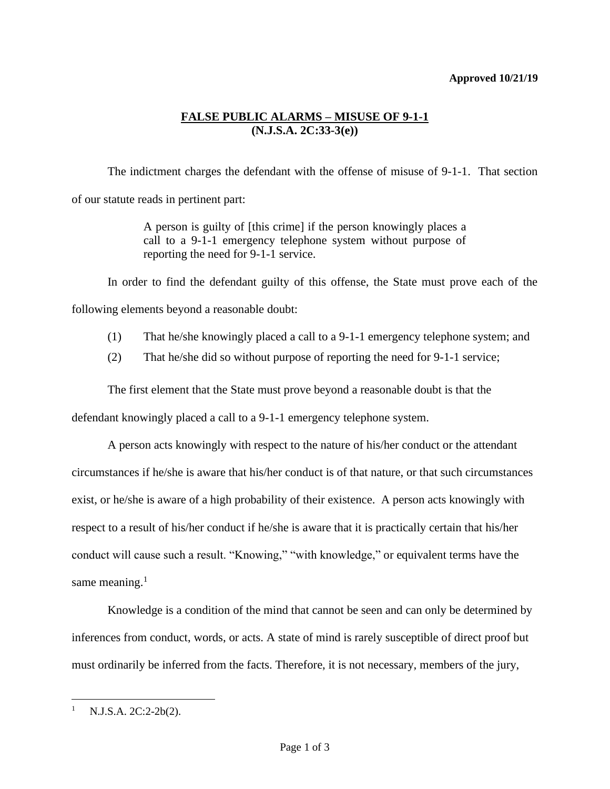## **Approved 10/21/19**

## **FALSE PUBLIC ALARMS – MISUSE OF 9-1-1 (N.J.S.A. 2C:33-3(e))**

The indictment charges the defendant with the offense of misuse of 9-1-1. That section of our statute reads in pertinent part:

> A person is guilty of [this crime] if the person knowingly places a call to a 9-1-1 emergency telephone system without purpose of reporting the need for 9-1-1 service.

In order to find the defendant guilty of this offense, the State must prove each of the following elements beyond a reasonable doubt:

- (1) That he/she knowingly placed a call to a 9-1-1 emergency telephone system; and
- (2) That he/she did so without purpose of reporting the need for 9-1-1 service;

The first element that the State must prove beyond a reasonable doubt is that the

defendant knowingly placed a call to a 9-1-1 emergency telephone system.

A person acts knowingly with respect to the nature of his/her conduct or the attendant circumstances if he/she is aware that his/her conduct is of that nature, or that such circumstances exist, or he/she is aware of a high probability of their existence. A person acts knowingly with respect to a result of his/her conduct if he/she is aware that it is practically certain that his/her conduct will cause such a result. "Knowing," "with knowledge," or equivalent terms have the same meaning. $<sup>1</sup>$ </sup>

Knowledge is a condition of the mind that cannot be seen and can only be determined by inferences from conduct, words, or acts. A state of mind is rarely susceptible of direct proof but must ordinarily be inferred from the facts. Therefore, it is not necessary, members of the jury,

 $1$  N.J.S.A. 2C:2-2b(2).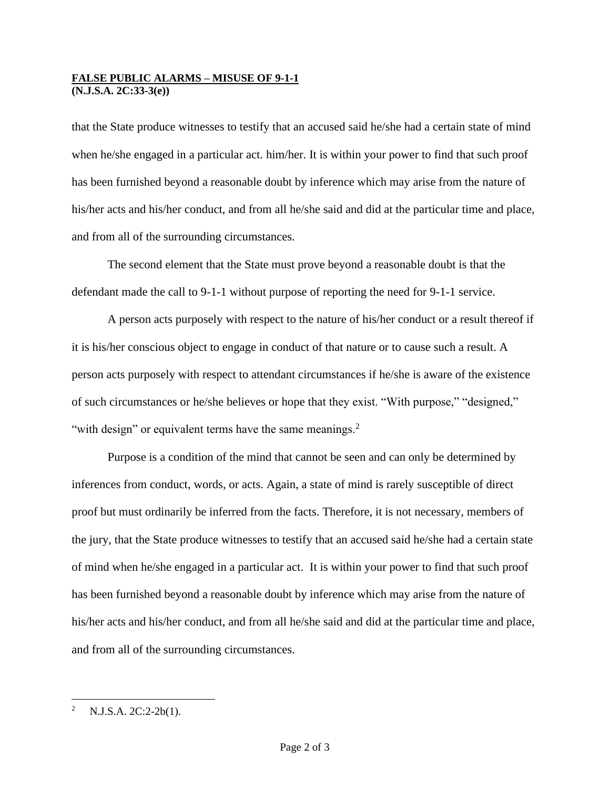## **FALSE PUBLIC ALARMS – MISUSE OF 9-1-1 (N.J.S.A. 2C:33-3(e))**

that the State produce witnesses to testify that an accused said he/she had a certain state of mind when he/she engaged in a particular act. him/her. It is within your power to find that such proof has been furnished beyond a reasonable doubt by inference which may arise from the nature of his/her acts and his/her conduct, and from all he/she said and did at the particular time and place, and from all of the surrounding circumstances.

The second element that the State must prove beyond a reasonable doubt is that the defendant made the call to 9-1-1 without purpose of reporting the need for 9-1-1 service.

A person acts purposely with respect to the nature of his/her conduct or a result thereof if it is his/her conscious object to engage in conduct of that nature or to cause such a result. A person acts purposely with respect to attendant circumstances if he/she is aware of the existence of such circumstances or he/she believes or hope that they exist. "With purpose," "designed," "with design" or equivalent terms have the same meanings.<sup>2</sup>

Purpose is a condition of the mind that cannot be seen and can only be determined by inferences from conduct, words, or acts. Again, a state of mind is rarely susceptible of direct proof but must ordinarily be inferred from the facts. Therefore, it is not necessary, members of the jury, that the State produce witnesses to testify that an accused said he/she had a certain state of mind when he/she engaged in a particular act. It is within your power to find that such proof has been furnished beyond a reasonable doubt by inference which may arise from the nature of his/her acts and his/her conduct, and from all he/she said and did at the particular time and place, and from all of the surrounding circumstances.

<sup>&</sup>lt;sup>2</sup> N.J.S.A. 2C:2-2b(1).